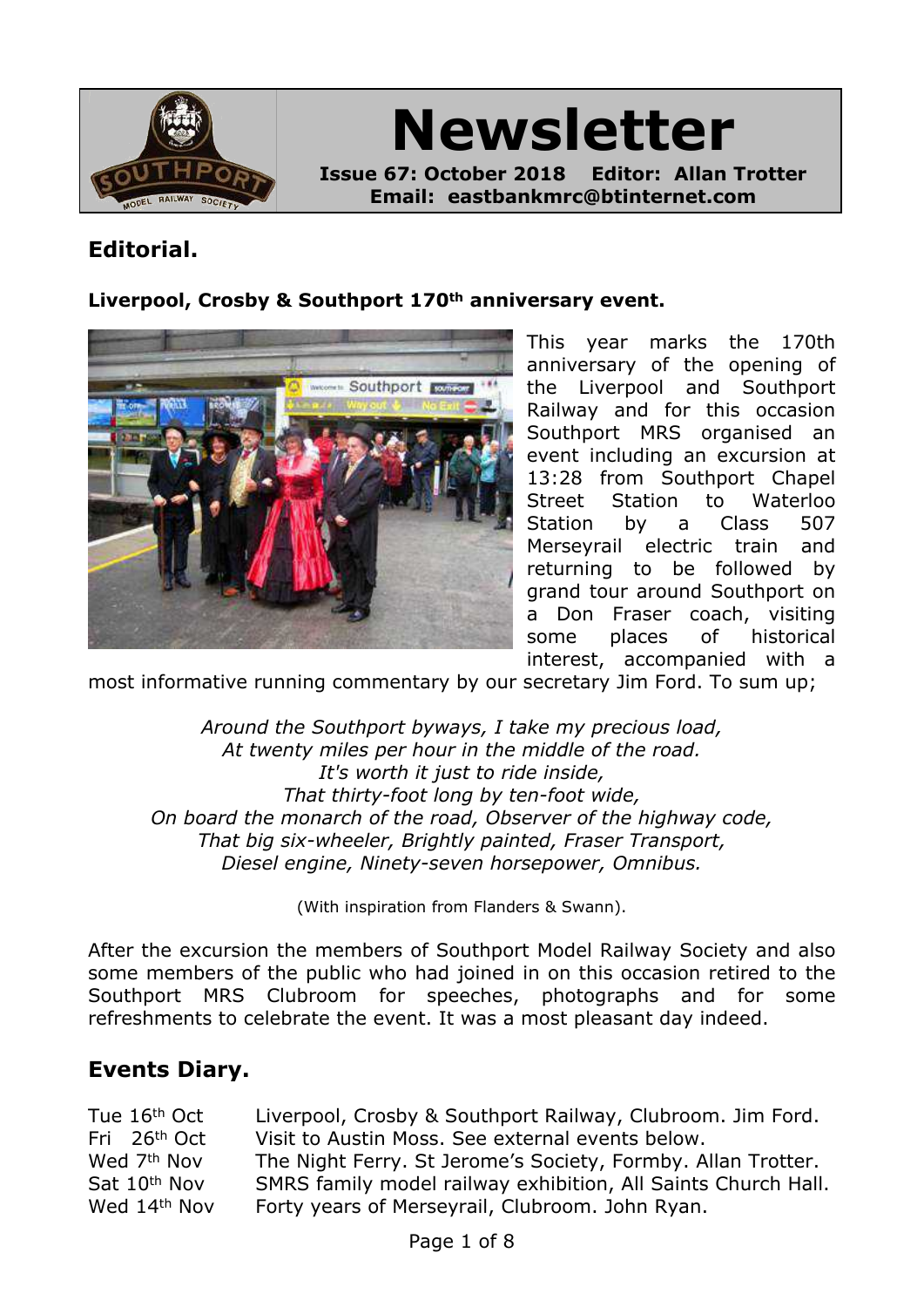

**Newsletter Issue 67: October 2018 Editor: Allan Trotter Email: eastbankmrc@btinternet.com**

# **Editorial.**

#### **Liverpool, Crosby & Southport 170th anniversary event.**



This year marks the 170th anniversary of the opening of the Liverpool and Southport Railway and for this occasion Southport MRS organised an event including an excursion at 13:28 from Southport Chapel Street Station to Waterloo Station by a Class 507 Merseyrail electric train and returning to be followed by grand tour around Southport on a Don Fraser coach, visiting some places of historical interest, accompanied with a

most informative running commentary by our secretary Jim Ford. To sum up;

*Around the Southport byways, I take my precious load, At twenty miles per hour in the middle of the road. It's worth it just to ride inside, That thirty-foot long by ten-foot wide, On board the monarch of the road, Observer of the highway code, That big six-wheeler, Brightly painted, Fraser Transport, Diesel engine, Ninety-seven horsepower, Omnibus.*

(With inspiration from Flanders & Swann).

After the excursion the members of Southport Model Railway Society and also some members of the public who had joined in on this occasion retired to the Southport MRS Clubroom for speeches, photographs and for some refreshments to celebrate the event. It was a most pleasant day indeed.

## **Events Diary.**

| Tue 16 <sup>th</sup> Oct | Liverpool, Crosby & Southport Railway, Clubroom. Jim Ford.    |
|--------------------------|---------------------------------------------------------------|
| Fri 26 <sup>th</sup> Oct | Visit to Austin Moss. See external events below.              |
| Wed 7 <sup>th</sup> Nov  | The Night Ferry. St Jerome's Society, Formby. Allan Trotter.  |
| Sat 10 <sup>th</sup> Nov | SMRS family model railway exhibition, All Saints Church Hall. |
| Wed 14th Nov             | Forty years of Merseyrail, Clubroom. John Ryan.               |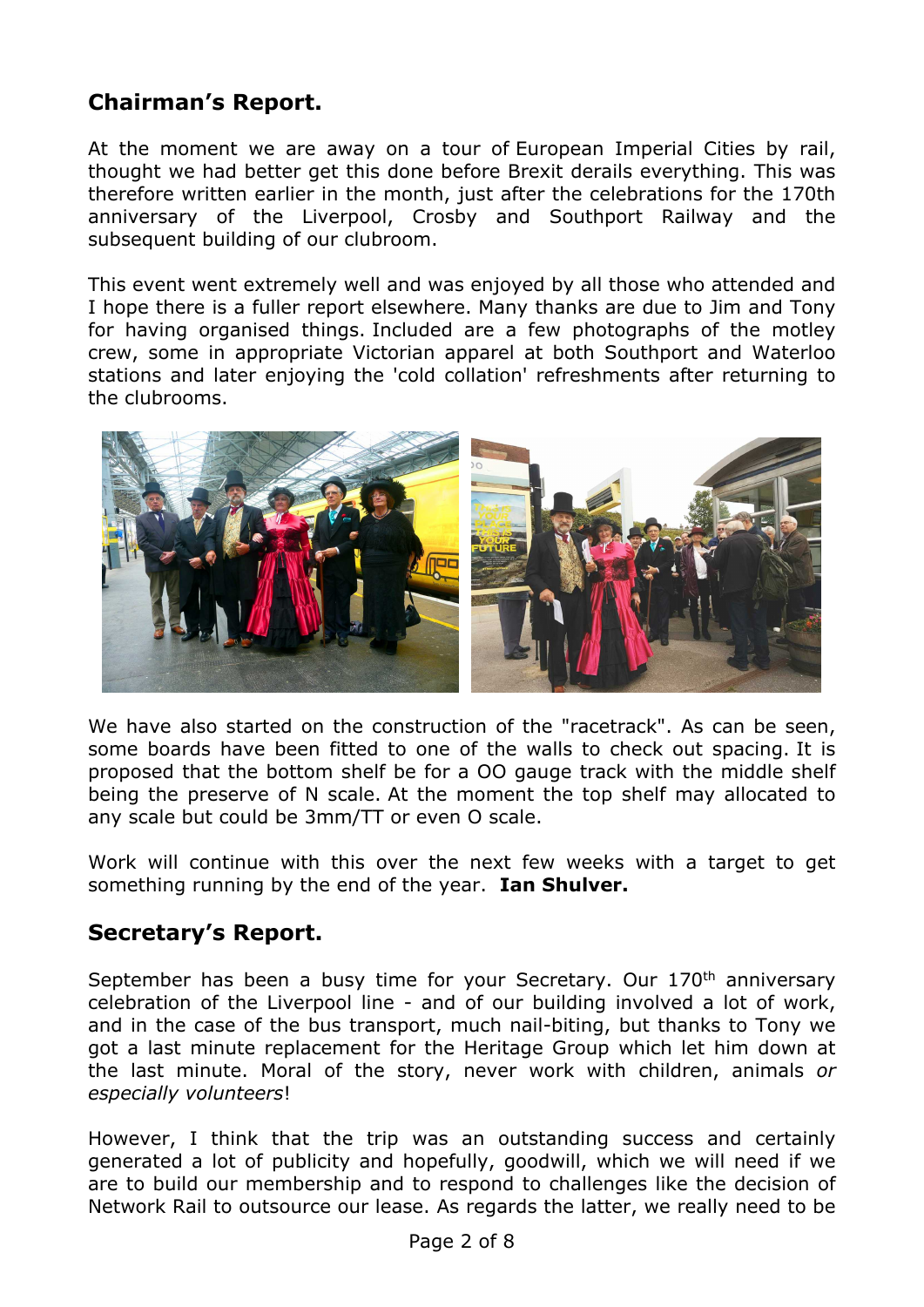# **Chairman's Report.**

At the moment we are away on a tour of European Imperial Cities by rail, thought we had better get this done before Brexit derails everything. This was therefore written earlier in the month, just after the celebrations for the 170th anniversary of the Liverpool, Crosby and Southport Railway and the subsequent building of our clubroom.

This event went extremely well and was enjoyed by all those who attended and I hope there is a fuller report elsewhere. Many thanks are due to Jim and Tony for having organised things. Included are a few photographs of the motley crew, some in appropriate Victorian apparel at both Southport and Waterloo stations and later enjoying the 'cold collation' refreshments after returning to the clubrooms.



We have also started on the construction of the "racetrack". As can be seen, some boards have been fitted to one of the walls to check out spacing. It is proposed that the bottom shelf be for a OO gauge track with the middle shelf being the preserve of N scale. At the moment the top shelf may allocated to any scale but could be 3mm/TT or even O scale.

Work will continue with this over the next few weeks with a target to get something running by the end of the year. **Ian Shulver.**

## **Secretary's Report.**

September has been a busy time for your Secretary. Our 170th anniversary celebration of the Liverpool line - and of our building involved a lot of work, and in the case of the bus transport, much nail-biting, but thanks to Tony we got a last minute replacement for the Heritage Group which let him down at the last minute. Moral of the story, never work with children, animals *or especially volunteers*!

However, I think that the trip was an outstanding success and certainly generated a lot of publicity and hopefully, goodwill, which we will need if we are to build our membership and to respond to challenges like the decision of Network Rail to outsource our lease. As regards the latter, we really need to be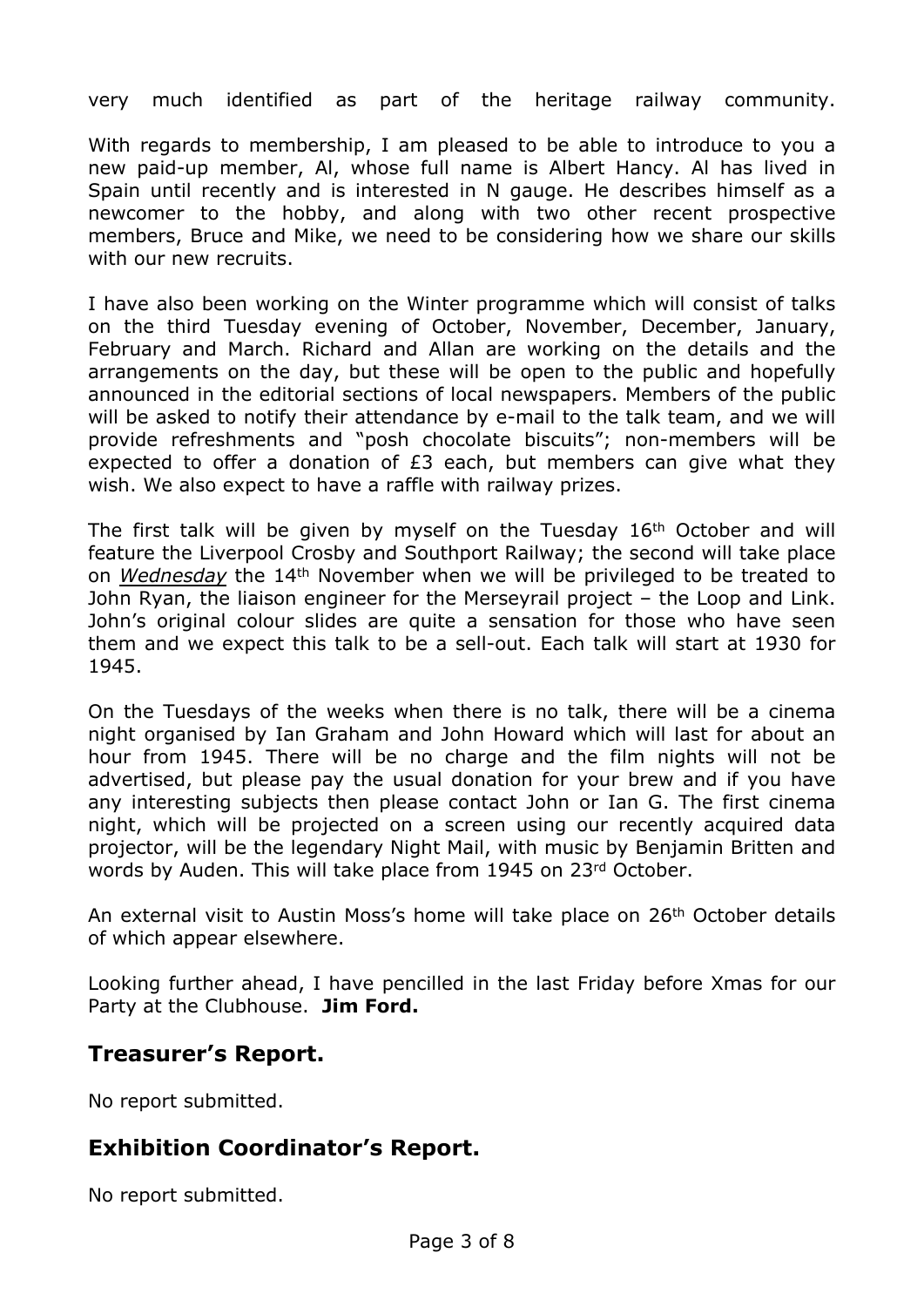very much identified as part of the heritage railway community.

With regards to membership, I am pleased to be able to introduce to you a new paid-up member, Al, whose full name is Albert Hancy. Al has lived in Spain until recently and is interested in N gauge. He describes himself as a newcomer to the hobby, and along with two other recent prospective members, Bruce and Mike, we need to be considering how we share our skills with our new recruits.

I have also been working on the Winter programme which will consist of talks on the third Tuesday evening of October, November, December, January, February and March. Richard and Allan are working on the details and the arrangements on the day, but these will be open to the public and hopefully announced in the editorial sections of local newspapers. Members of the public will be asked to notify their attendance by e-mail to the talk team, and we will provide refreshments and "posh chocolate biscuits"; non-members will be expected to offer a donation of £3 each, but members can give what they wish. We also expect to have a raffle with railway prizes.

The first talk will be given by myself on the Tuesday 16<sup>th</sup> October and will feature the Liverpool Crosby and Southport Railway; the second will take place on *Wednesday* the 14th November when we will be privileged to be treated to John Ryan, the liaison engineer for the Merseyrail project – the Loop and Link. John's original colour slides are quite a sensation for those who have seen them and we expect this talk to be a sell-out. Each talk will start at 1930 for 1945.

On the Tuesdays of the weeks when there is no talk, there will be a cinema night organised by Ian Graham and John Howard which will last for about an hour from 1945. There will be no charge and the film nights will not be advertised, but please pay the usual donation for your brew and if you have any interesting subjects then please contact John or Ian G. The first cinema night, which will be projected on a screen using our recently acquired data projector, will be the legendary Night Mail, with music by Benjamin Britten and words by Auden. This will take place from 1945 on 23rd October.

An external visit to Austin Moss's home will take place on 26<sup>th</sup> October details of which appear elsewhere.

Looking further ahead, I have pencilled in the last Friday before Xmas for our Party at the Clubhouse. **Jim Ford.**

## **Treasurer's Report.**

No report submitted.

## **Exhibition Coordinator's Report.**

No report submitted.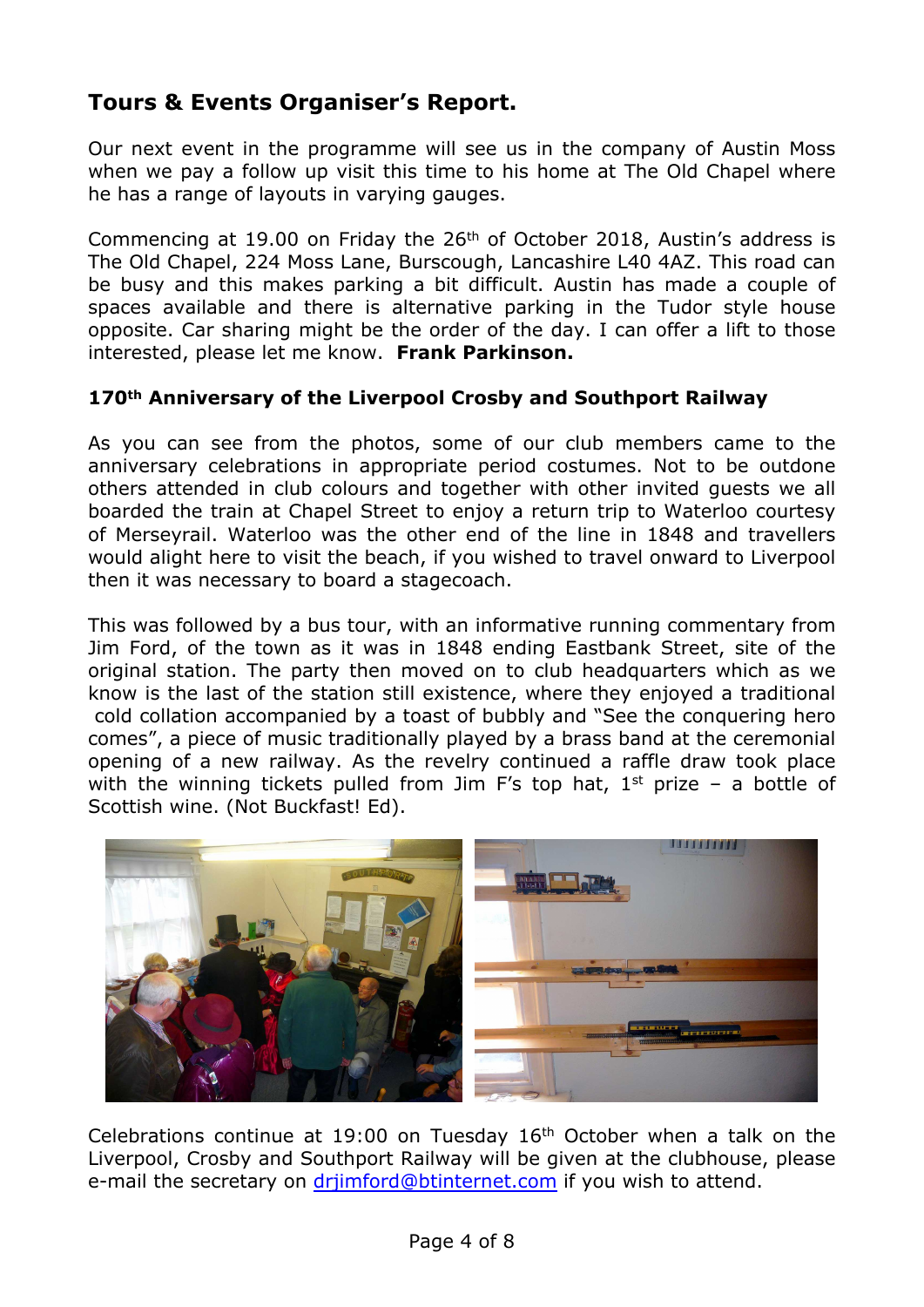# **Tours & Events Organiser's Report.**

Our next event in the programme will see us in the company of Austin Moss when we pay a follow up visit this time to his home at The Old Chapel where he has a range of layouts in varying gauges.

Commencing at 19.00 on Friday the  $26<sup>th</sup>$  of October 2018, Austin's address is The Old Chapel, 224 Moss Lane, Burscough, Lancashire L40 4AZ. This road can be busy and this makes parking a bit difficult. Austin has made a couple of spaces available and there is alternative parking in the Tudor style house opposite. Car sharing might be the order of the day. I can offer a lift to those interested, please let me know. **Frank Parkinson.**

#### **170th Anniversary of the Liverpool Crosby and Southport Railway**

As you can see from the photos, some of our club members came to the anniversary celebrations in appropriate period costumes. Not to be outdone others attended in club colours and together with other invited guests we all boarded the train at Chapel Street to enjoy a return trip to Waterloo courtesy of Merseyrail. Waterloo was the other end of the line in 1848 and travellers would alight here to visit the beach, if you wished to travel onward to Liverpool then it was necessary to board a stagecoach.

This was followed by a bus tour, with an informative running commentary from Jim Ford, of the town as it was in 1848 ending Eastbank Street, site of the original station. The party then moved on to club headquarters which as we know is the last of the station still existence, where they enjoyed a traditional cold collation accompanied by a toast of bubbly and "See the conquering hero comes", a piece of music traditionally played by a brass band at the ceremonial opening of a new railway. As the revelry continued a raffle draw took place with the winning tickets pulled from Jim F's top hat,  $1<sup>st</sup>$  prize – a bottle of Scottish wine. (Not Buckfast! Ed).



Celebrations continue at 19:00 on Tuesday 16th October when a talk on the Liverpool, Crosby and Southport Railway will be given at the clubhouse, please e-mail the secretary on drijmford@btinternet.com if you wish to attend.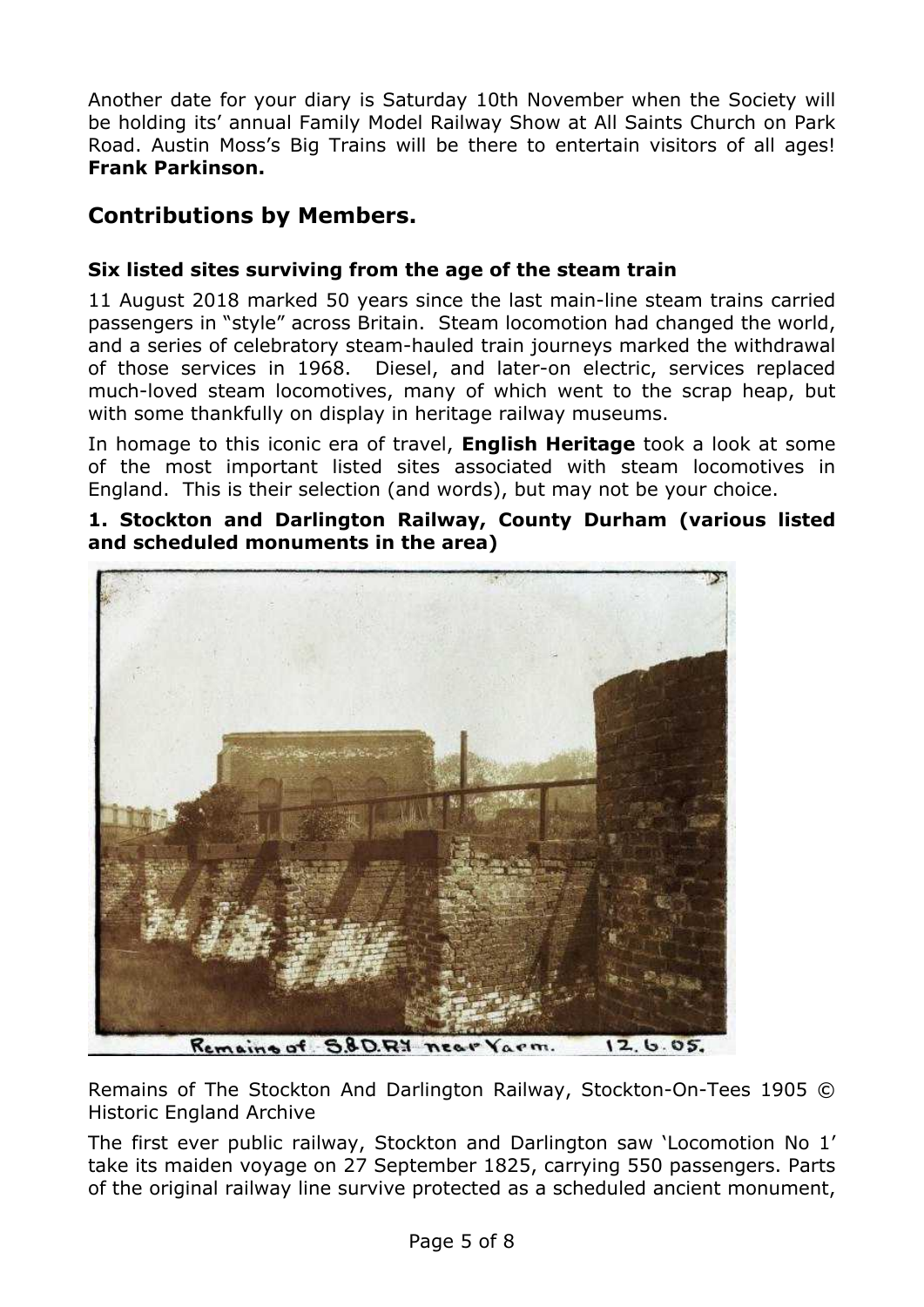Another date for your diary is Saturday 10th November when the Society will be holding its' annual Family Model Railway Show at All Saints Church on Park Road. Austin Moss's Big Trains will be there to entertain visitors of all ages! **Frank Parkinson.**

# **Contributions by Members.**

#### **Six listed sites surviving from the age of the steam train**

11 August 2018 marked 50 years since the last main-line steam trains carried passengers in "style" across Britain. Steam locomotion had changed the world, and a series of celebratory steam-hauled train journeys marked the withdrawal of those services in 1968. Diesel, and later-on electric, services replaced much-loved steam locomotives, many of which went to the scrap heap, but with some thankfully on display in heritage railway museums.

In homage to this iconic era of travel, **English Heritage** took a look at some of the most important listed sites associated with steam locomotives in England. This is their selection (and words), but may not be your choice.

#### **1. Stockton and Darlington Railway, County Durham (various listed and scheduled monuments in the area)**



Remains of S&D.R.Y near Yarm.  $12.6.05.$ 

Remains of The Stockton And Darlington Railway, Stockton-On-Tees 1905 © Historic England Archive

The first ever public railway, Stockton and Darlington saw 'Locomotion No 1' take its maiden voyage on 27 September 1825, carrying 550 passengers. Parts of the original railway line survive protected as a scheduled ancient monument,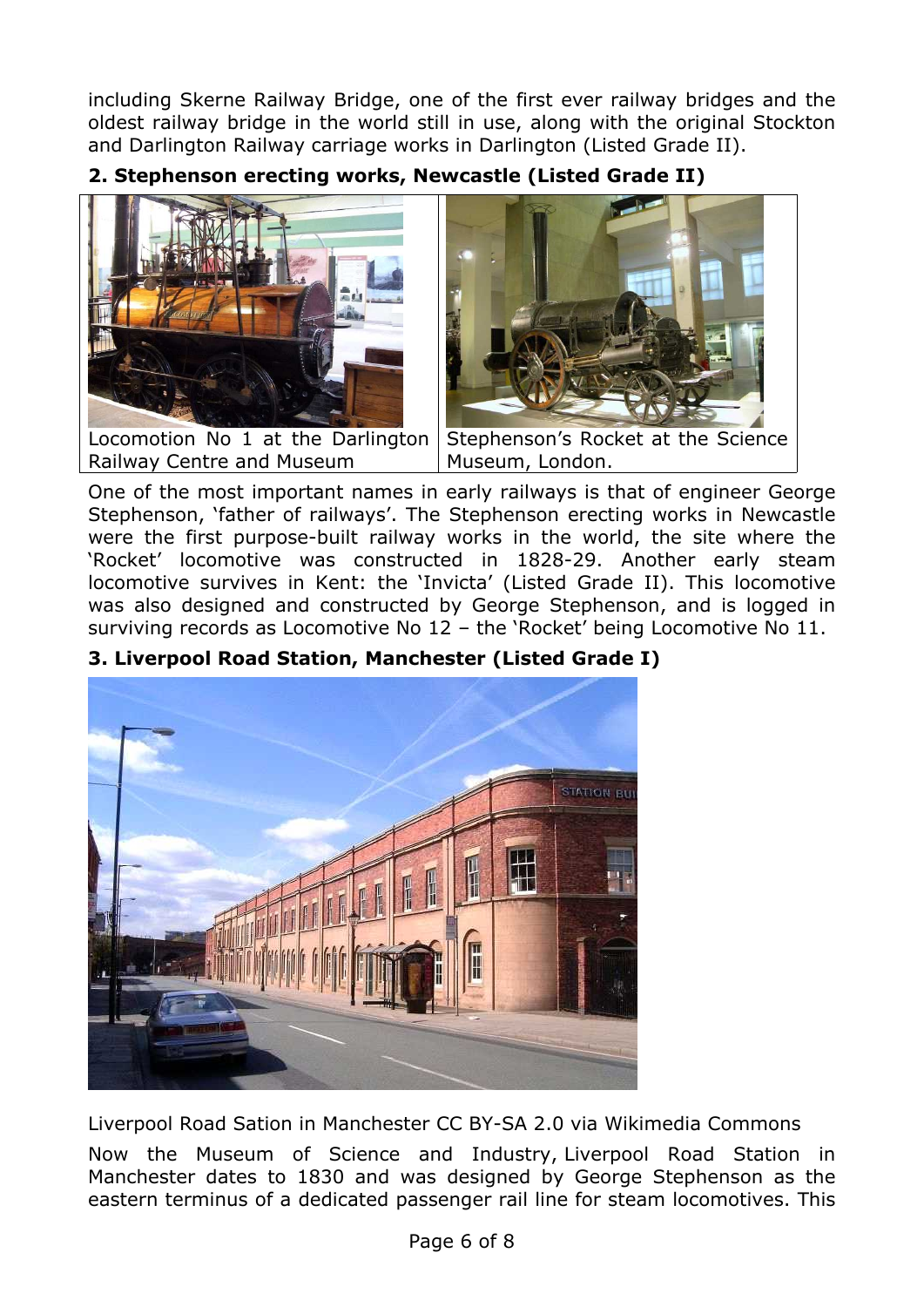including Skerne Railway Bridge, one of the first ever railway bridges and the oldest railway bridge in the world still in use, along with the original Stockton and Darlington Railway carriage works in Darlington (Listed Grade II).

**2. Stephenson erecting works, Newcastle (Listed Grade II)**



Locomotion No 1 at the Darlington Railway Centre and Museum



Stephenson's Rocket at the Science Museum, London.

One of the most important names in early railways is that of engineer George Stephenson, 'father of railways'. The Stephenson erecting works in Newcastle were the first purpose-built railway works in the world, the site where the 'Rocket' locomotive was constructed in 1828-29. Another early steam locomotive survives in Kent: the 'Invicta' (Listed Grade II). This locomotive was also designed and constructed by George Stephenson, and is logged in surviving records as Locomotive No 12 – the 'Rocket' being Locomotive No 11.



## **3. Liverpool Road Station, Manchester (Listed Grade I)**

Liverpool Road Sation in Manchester CC BY-SA 2.0 via Wikimedia Commons

Now the Museum of Science and Industry, Liverpool Road Station in Manchester dates to 1830 and was designed by George Stephenson as the eastern terminus of a dedicated passenger rail line for steam locomotives. This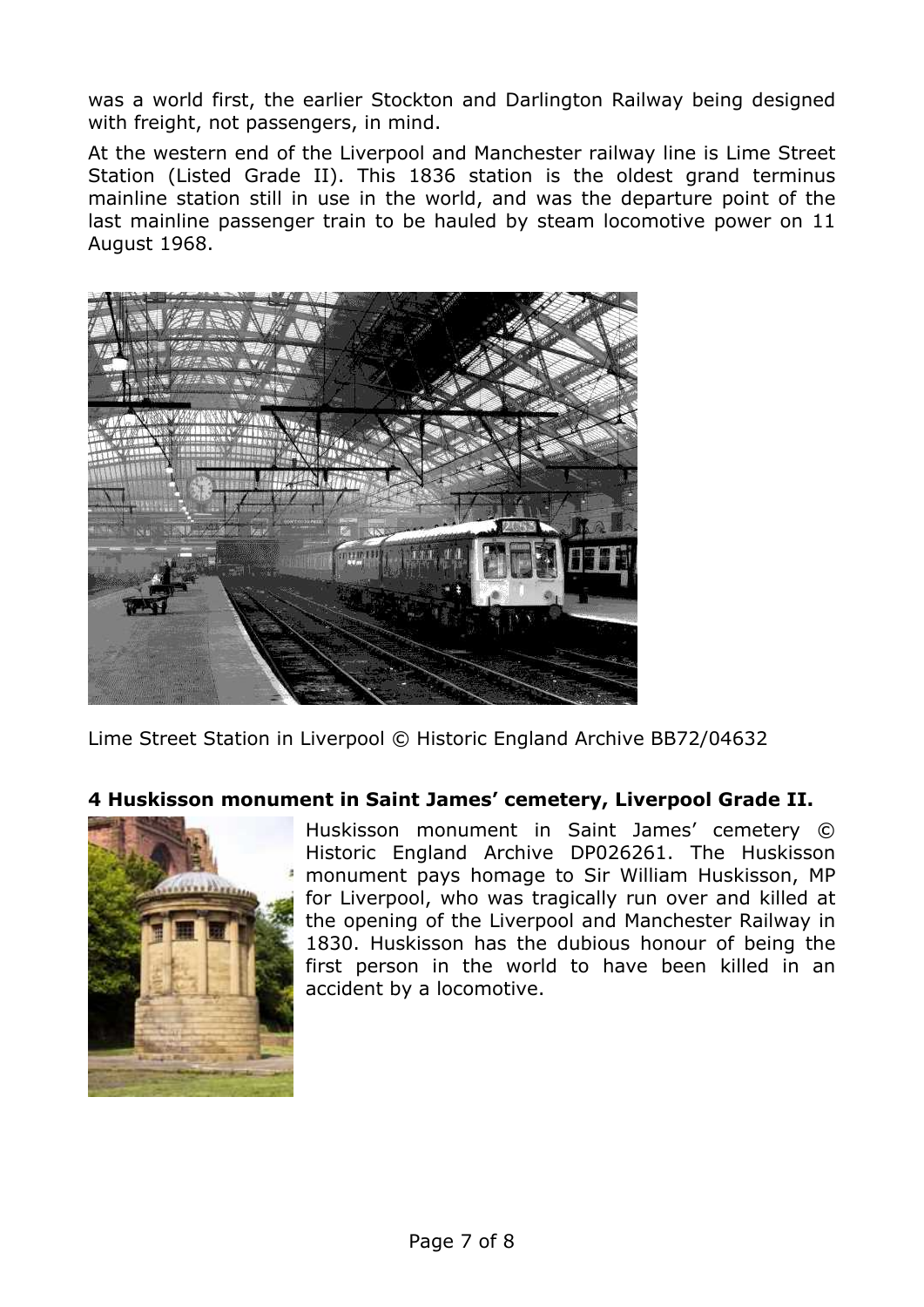was a world first, the earlier Stockton and Darlington Railway being designed with freight, not passengers, in mind.

At the western end of the Liverpool and Manchester railway line is Lime Street Station (Listed Grade II). This 1836 station is the oldest grand terminus mainline station still in use in the world, and was the departure point of the last mainline passenger train to be hauled by steam locomotive power on 11 August 1968.



Lime Street Station in Liverpool © Historic England Archive BB72/04632

#### **4 Huskisson monument in Saint James' cemetery, Liverpool Grade II.**



Huskisson monument in Saint James' cemetery © Historic England Archive DP026261. The Huskisson monument pays homage to Sir William Huskisson, MP for Liverpool, who was tragically run over and killed at the opening of the Liverpool and Manchester Railway in 1830. Huskisson has the dubious honour of being the first person in the world to have been killed in an accident by a locomotive.